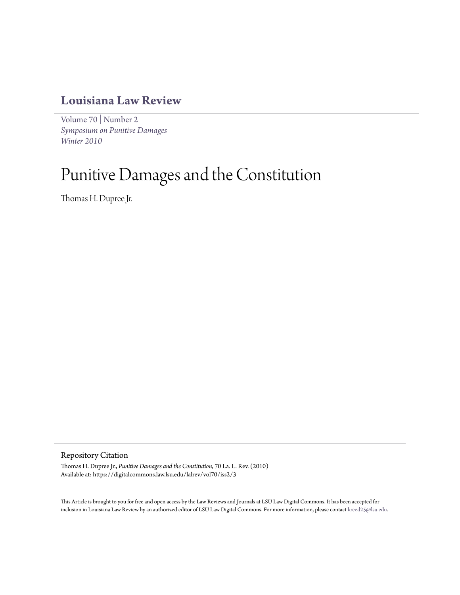## **[Louisiana Law Review](https://digitalcommons.law.lsu.edu/lalrev)**

[Volume 70](https://digitalcommons.law.lsu.edu/lalrev/vol70) | [Number 2](https://digitalcommons.law.lsu.edu/lalrev/vol70/iss2) *[Symposium on Punitive Damages](https://digitalcommons.law.lsu.edu/lalrev/vol70/iss2) [Winter 2010](https://digitalcommons.law.lsu.edu/lalrev/vol70/iss2)*

# Punitive Damages and the Constitution

Thomas H. Dupree Jr.

Repository Citation

Thomas H. Dupree Jr., *Punitive Damages and the Constitution*, 70 La. L. Rev. (2010) Available at: https://digitalcommons.law.lsu.edu/lalrev/vol70/iss2/3

This Article is brought to you for free and open access by the Law Reviews and Journals at LSU Law Digital Commons. It has been accepted for inclusion in Louisiana Law Review by an authorized editor of LSU Law Digital Commons. For more information, please contact [kreed25@lsu.edu](mailto:kreed25@lsu.edu).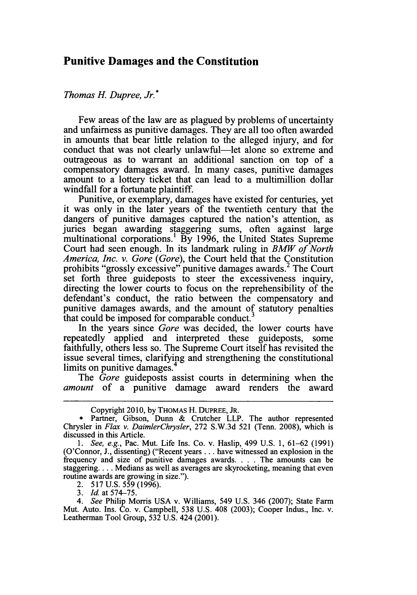### **Punitive Damages and the Constitution**

#### *Thomas H. Dupree, Jr.\**

Few areas of the law are as plagued by problems of uncertainty and unfairness as punitive damages. They are all too often awarded in amounts that bear little relation to the alleged injury, and for conduct that was not clearly unlawful-let alone so extreme and outrageous as to warrant an additional sanction on top of a compensatory damages award. In many cases, punitive damages amount to a lottery ticket that can lead to a multimillion dollar windfall for a fortunate plaintiff.

Punitive, or exemplary, damages have existed for centuries, yet it was only in the later years of the twentieth century that the dangers of punitive damages captured the nation's attention, as juries began awarding staggering sums, often against large multinational corporations.<sup>1</sup> By 1996, the United States Supreme Court had seen enough. In its landmark ruling in *BMW of North America, Inc. v. Gore (Gore),* the Court held that the Constitution prohibits "grossly excessive" punitive damages awards.<sup>2</sup> The Court set forth three guideposts to steer the excessiveness inquiry, directing the lower courts to focus on the reprehensibility of the defendant's conduct, the ratio between the compensatory and punitive damages awards, and the amount of statutory penalties that could be imposed for comparable conduct.

In the years since *Gore* was decided, the lower courts have repeatedly applied and interpreted these guideposts, some faithfully, others less so. The Supreme Court itself has revisited the issue several times, clarifying and strengthening the constitutional limits on punitive damages.

The *Gore* guideposts assist courts in determining when the *amount* of a punitive damage award renders the award

2. 517 U.S. 559 (1996).

*3. Id.* at 574-75.

*4. See* Philip Morris USA v. Williams, 549 U.S. 346 (2007); State Farm Mut. Auto. Ins. Co. v. Campbell, 538 U.S. 408 (2003); Cooper Indus., Inc. v. Leatherman Tool Group, 532 U.S. 424 (2001).

Copyright 2010, by THOMAs H. DUPREE, JR.

Partner, Gibson, Dunn & Crutcher LLP. The author represented Chrysler in *Flax v. DaimlerChrysler,* 272 S.W.3d 521 (Tenn. 2008), which is discussed in this Article.

*<sup>1.</sup> See, e.g.,* Pac. Mut. Life Ins. Co. v. Haslip, 499 U.S. 1, 61-62 (1991) (O'Connor, J., dissenting) ("Recent years... have witnessed an explosion in the frequency and size of punitive damages awards. . **.** . The amounts can be staggering.... Medians as well as averages are skyrocketing, meaning that even routine awards are growing in size.").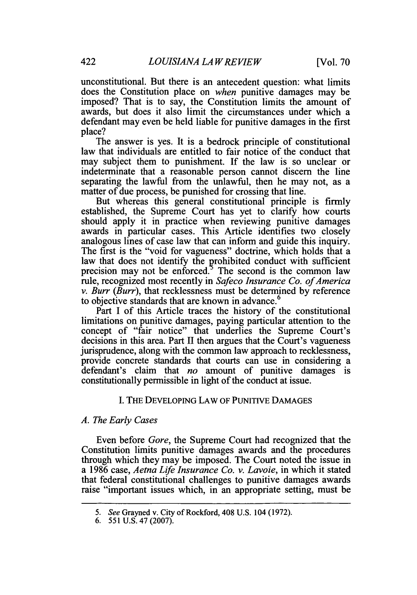unconstitutional. But there is an antecedent question: what limits does the Constitution place on *when* punitive damages may be imposed? That is to say, the Constitution limits the amount of awards, but does it also limit the circumstances under which a defendant may even be held liable for punitive damages in the first place?

The answer is yes. It is a bedrock principle of constitutional law that individuals are entitled to fair notice of the conduct that may subject them to punishment. If the law is so unclear or indeterminate that a reasonable person cannot discern the line separating the lawful from the unlawful, then he may not, as a matter of due process, be punished for crossing that line.

But whereas this general constitutional principle is firmly established, the Supreme Court has yet to clarify how courts should apply it in practice when reviewing punitive damages awards in particular cases. This Article identifies two closely analogous lines of case law that can inform and guide this inquiry. The first is the "void for vagueness" doctrine, which holds that a law that does not identify the prohibited conduct with sufficient precision may not be enforced.<sup>5</sup> The second is the common law rule, recognized most recently in *Safeco Insurance Co. of America v. Burr (Burr),* that recklessness must be determined by reference to objective standards that are known in advance.<sup>6</sup>

Part I of this Article traces the history of the constitutional limitations on punitive damages, paying particular attention to the concept of "fair notice" that underlies the Supreme Court's decisions in this area. Part II then argues that the Court's vagueness jurisprudence, along with the common law approach to recklessness, provide concrete standards that courts can use in considering a defendant's claim that *no* amount of punitive damages is constitutionally permissible in light of the conduct at issue.

#### I. THE DEVELOPING LAW OF PUNITIVE DAMAGES

#### *A. The Early Cases*

Even before *Gore,* the Supreme Court had recognized that the Constitution limits punitive damages awards and the procedures through which they may be imposed. The Court noted the issue in a 1986 case, *Aetna* Life *Insurance Co. v. Lavoie,* in which it stated that federal constitutional challenges to punitive damages awards raise "important issues which, in an appropriate setting, must be

*<sup>5.</sup> See* Grayned v. City of Rockford, 408 U.S. 104 (1972).

<sup>6. 551</sup> U.S. 47 (2007).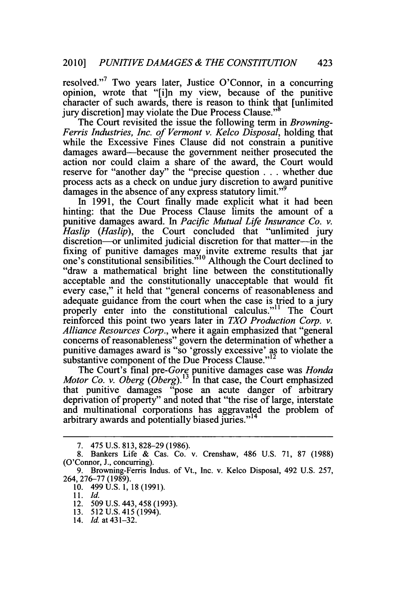resolved."7 Two years later, Justice O'Connor, in a concurring opinion, wrote that "[i]n my view, because of the punitive character of such awards, there is reason to think that [unlimited jury discretion] may violate the Due Process Clause."<sup>8</sup>

The Court revisited the issue the following term in *Browning-Ferris Industries, Inc. of Vermont v. Kelco Disposal,* holding that while the Excessive Fines Clause did not constrain a punitive damages award-because the government neither prosecuted the action nor could claim a share of the award, the Court would reserve for "another day" the "precise question **. . .** whether due process acts as a check on undue jury discretion to award punitive damages in the absence of any express statutory limit."<sup>9</sup>

In 1991, the Court finally made explicit what it had been hinting: that the Due Process Clause limits the amount of a punitive damages award. In *Pacific Mutual Life Insurance Co. v. Haslip (Haslip),* the Court concluded that "unlimited jury discretion---or unlimited judicial discretion for that matter---in the fixing of punitive damages may invite extreme results that jar one's constitutional sensibilities."<sup>10</sup> Although the Court declined to "draw a mathematical bright line between the constitutionally acceptable and the constitutionally unacceptable that would fit every case," it held that "general concerns of reasonableness and adequate guidance from the court when the case is tried to a jury properly enter into the constitutional calculus."<sup>11</sup> The Court reinforced this point two years later in *TXO Production Corp. v. Alliance Resources Corp.,* where it again emphasized that "general concerns of reasonableness" govern the determination of whether a punitive damages award is "so 'grossly excessive' as to violate the substantive component of the Due Process Clause."<sup>12</sup>

The Court's final *pre-Gore* punitive damages case was *Honda Motor Co. v. Oberg (Oberg).13* In that case, the Court emphasized that punitive damages "pose an acute danger of arbitrary deprivation of property" and noted that "the rise of large, interstate and multinational corporations has aggravated the problem of arbitrary awards and potentially biased juries."<sup>14</sup>

<sup>7. 475</sup> U.S. 813, 828-29 (1986).

<sup>8.</sup> Bankers Life & Cas. Co. v. Crenshaw, 486 U.S. 71, 87 (1988) (O'Connor, J., concurring).

<sup>9.</sup> Browning-Ferris Indus. of Vt., Inc. v. Kelco Disposal, 492 U.S. 257, 264, 276-77 (1989).

<sup>10. 499</sup> U.S. 1, 18 (1991).

<sup>11.</sup> *Id.*

<sup>12. 509</sup> U.S. 443, 458 (1993).

<sup>13. 512</sup> U.S. 415 (1994).

<sup>14.</sup> **Id.** at 431-32.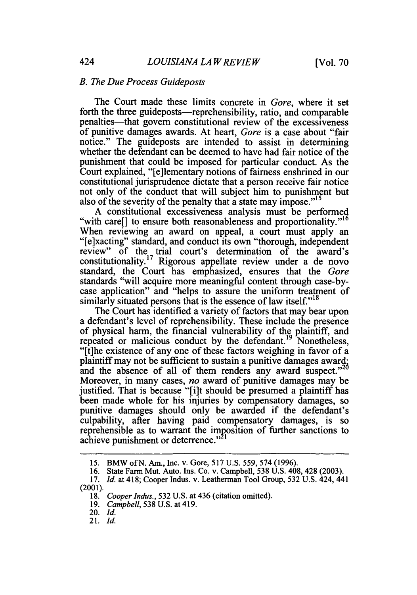#### *B. The Due Process Guideposts*

The Court made these limits concrete in *Gore,* where it set forth the three guideposts—reprehensibility, ratio, and comparable penalties-that govern constitutional review of the excessiveness of punitive damages awards. At heart, *Gore* is a case about "fair notice." The guideposts are intended to assist in determining whether the defendant can be deemed to have had fair notice of the punishment that could be imposed for particular conduct. As the Court explained, "[e]lementary notions of fairness enshrined in our constitutional jurisprudence dictate that a person receive fair notice not only of the conduct that will subject him to punishment but also of the severity of the penalty that a state may impose."<sup>15</sup>

A constitutional excessiveness analysis must be performed "with care" to ensure both reasonableness and proportionality."<sup>16</sup> When reviewing an award on appeal, a court must apply an "[e]xacting" standard, and conduct its own "thorough, independent review" of the trial court's determination of the award's constitutionality.<sup>17</sup> Rigorous appellate review under a de novo standard, the Court has emphasized, ensures that the *Gore* standards "will acquire more meaningful content through case-bycase application" and "helps to assure the uniform treatment of similarly situated persons that is the essence of law itself. $"$ 

The Court has identified a variety of factors that may bear upon a defendant's level of reprehensibility. These include the presence of physical harm, the financial vulnerability of the plaintiff, and repeated or malicious conduct by the defendant.<sup>19</sup> Nonetheless, "[t]he existence of any one of these factors weighing in favor of a plaintiff may not be sufficient to sustain a punitive damages award; plant that the absence of all of them renders any award suspect.<sup>220</sup> Moreover, in many cases, *no* award of punitive damages may be justified. That is because "[i]t should be presumed a plaintiff has been made whole for his injuries by compensatory damages, so punitive damages should only be awarded if the defendant's culpability, after having paid compensatory damages, is so reprehensible as to warrant the imposition of further sanctions to achieve punishment or deterrence."<sup>21</sup>

20. *Id.*

<sup>15.</sup> BMW of N. Am., Inc. v. Gore, 517 U.S. 559, 574 (1996).

<sup>16.</sup> State Farm Mut. Auto. Ins. Co. v. Campbell, 538 U.S. 408, 428 (2003).

<sup>17.</sup> *Id.* at 418; Cooper Indus. v. Leatherman Tool Group, 532 U.S. 424, 441 (2001).

<sup>18.</sup> *Cooper Indus.,* 532 U.S. at 436 (citation omitted).

<sup>19.</sup> *Campbell,* 538 U.S. at 419.

<sup>21.</sup> *Id.*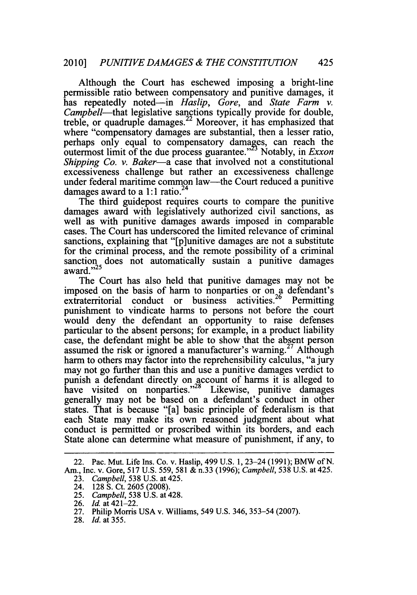Although the Court has eschewed imposing a bright-line permissible ratio between compensatory and punitive damages, it has repeatedly noted-in *Haslip, Gore,* and *State Farm v. Campbell*—that legislative sanctions typically provide for double, treble, or quadruple damages. 22 Moreover, it has emphasized that where "compensatory damages are substantial, then a lesser ratio, perhaps only equal to compensatory damages, can reach the outermost limit of the due process guarantee."<sup>23</sup> Notably, in *Exxon Shipping Co. v. Baker-a* case that involved not a constitutional excessiveness challenge but rather an excessiveness challenge under federal maritime common law-the Court reduced a punitive damages award to a 1:1 ratio.<sup>24</sup>

The third guidepost requires courts to compare the punitive damages award with legislatively authorized civil sanctions, as well as with punitive damages awards imposed in comparable cases. The Court has underscored the limited relevance of criminal sanctions, explaining that "[p]unitive damages are not a substitute for the criminal process, and the remote possibility of a criminal sanction does not automatically sustain a punitive damages sanction<br>award."<sup>25</sup>

The Court has also held that punitive damages may not be imposed on the basis of harm to nonparties or on a defendant's extraterritorial conduct or business activities.<sup>26</sup> Permitting punishment to vindicate harms to persons not before the court would deny the defendant an opportunity to raise defenses particular to the absent persons; for example, in a product liability case, the defendant might be able to show that the absent person assumed the risk or ignored a manufacturer's warning.<sup>27</sup> Although harm to others may factor into the reprehensibility calculus, "a jury may not go further than this and use a punitive damages verdict to punish a defendant directly on account of harms it is alleged to have visited on nonparties."<sup>28</sup> Likewise, punitive damages generally may not be based on a defendant's conduct in other states. That is because "[a] basic principle of federalism is that each State may make its own reasoned judgment about what conduct is permitted or proscribed within its borders, and each State alone can determine what measure of punishment, if any, to

<sup>22.</sup> Pac. Mut. Life Ins. Co. v. Haslip, 499 U.S. 1, 23-24 (1991); BMW of N. Am., Inc. v. Gore, 517 U.S. 559, 581 & n.33 (1996); *Campbell,* 538 U.S. at 425.

<sup>23.</sup> *Campbell,* 538 U.S. at 425.

<sup>24. 128</sup> **S.** Ct. 2605 (2008).

*<sup>25.</sup> Campbell,* 538 U.S. at 428.

<sup>26.</sup> *Id.* at 421-22.

<sup>27.</sup> Philip Morris USA v. Williams, 549 U.S. 346, 353-54 (2007).

<sup>28.</sup> *Id.* at 355.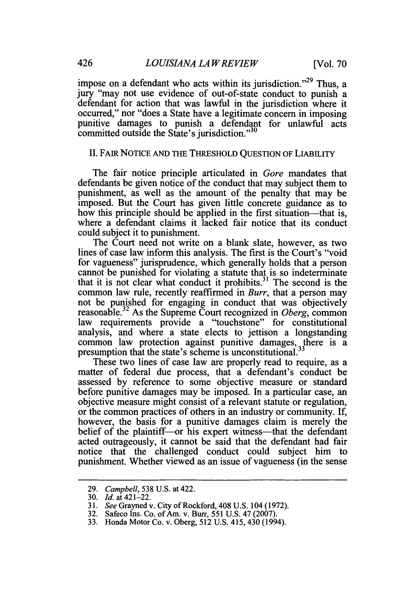impose on a defendant who acts within its jurisdiction."<sup>29</sup> Thus, a jury "may not use evidence of out-of-state conduct to punish a defendant for action that was lawful in the jurisdiction where it occurred," nor "does a State have a legitimate concern in imposing punitive damages to punish a defendant for unlawful acts committed outside the State's jurisdiction."<sup>30</sup>

#### II. FAIR NOTICE AND THE THRESHOLD QUESTION OF LIABILITY

The fair notice principle articulated in *Gore* mandates that defendants be given notice of the conduct that may subject them to punishment, as well as the amount of the penalty that may be imposed. But the Court has given little concrete guidance as to how this principle should be applied in the first situation—that is, where a defendant claims it lacked fair notice that its conduct could subject it to punishment.

The Court need not write on a blank slate, however, as two lines of case law inform this analysis. The first is the Court's "void for vagueness" jurisprudence, which generally holds that a person cannot be punished for violating a statute that is so indeterminate that it is not clear what conduct it prohibits. 31 The second is the common law rule, recently reaffirmed in *Burr,* that a person may not be punished for engaging in conduct that was objectively reasonable. 32 As the Supreme Court recognized in *Oberg,* common law requirements provide a "touchstone" for constitutional analysis, and where a state elects to jettison a longstanding common law protection against punitive damages, there is a presumption that the state's scheme is unconstitutional.<sup>33</sup>

These two lines of case law are properly read to require, as a matter of federal due process, that a defendant's conduct be assessed by reference to some objective measure or standard before punitive damages may be imposed. In a particular case, an objective measure might consist of a relevant statute or regulation, or the common practices of others in an industry or community. If, however, the basis for a punitive damages claim is merely the belief of the plaintiff---or his expert witness---------------------------------acted outrageously, it cannot be said that the defendant had fair notice that the challenged conduct could subject him to punishment. Whether viewed as an issue of vagueness (in the sense

<sup>29.</sup> *Campbell,* 538 U.S. at 422.

<sup>30.</sup> *Id.* at 421-22.

<sup>31.</sup> *See* Grayned v. City of Rockford, 408 U.S. 104 (1972).

<sup>32.</sup> Safeco Ins. Co. of Am. v. Burr, 551 U.S. 47 (2007).

<sup>33.</sup> Honda Motor Co. v. Oberg, 512 U.S. 415, 430 (1994).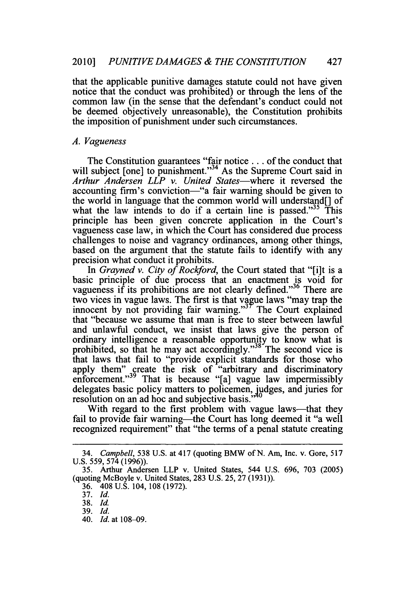that the applicable punitive damages statute could not have given notice that the conduct was prohibited) or through the lens of the common law (in the sense that the defendant's conduct could not be deemed objectively unreasonable), the Constitution prohibits the imposition of punishment under such circumstances.

#### *A. Vagueness*

The Constitution guarantees "fair notice .. **.** of the conduct that will subject  $[one]$  to punishment."<sup>34</sup> As the Supreme Court said in *Arthur Andersen LLP v. United States-where* it reversed the accounting firm's conviction-"a fair warning should be given to the world in language that the common world will understand[] of what the law intends to do if a certain line is passed."<sup>35</sup> This principle has been given concrete application in the Court's vagueness case law, in which the Court has considered due process challenges to noise and vagrancy ordinances, among other things, based on the argument that the statute fails to identify with any precision what conduct it prohibits.

*In Grayned v. City of Rockford,* the Court stated that "[i]t is a basic principle of due process that an enactment is void for vagueness if its prohibitions are not clearly defined. $\frac{36}{100}$  There are two vices in vague laws. The first is that vague laws "may trap the innocent by not providing fair warning."<sup> $37$ </sup> The Court explained that "because we assume that man is free to steer between lawful and unlawful conduct, we insist that laws give the person of ordinary intelligence a reasonable opportunity to know what is prohibited, so that he may act accordingly."<sup>38</sup> The second vice is that laws that fail to "provide explicit standards for those who apply them" create the risk of "arbitrary and discriminatory enforcement."<sup>39</sup> That is because "[a] vague law impermissibly delegates basic policy matters to policemen, judges, and juries for resolution on an ad hoc and subjective basis.

With regard to the first problem with vague laws—that they fail to provide fair warning—the Court has long deemed it "a well recognized requirement" that "the terms of a penal statute creating

<sup>34.</sup> *Campbell,* 538 U.S. at 417 (quoting BMW of N. Am, Inc. v. Gore, 517 U.S. 559, 574 (1996)).

<sup>35.</sup> Arthur Andersen LLP v. United States, 544 U.S. 696, 703 (2005) (quoting McBoyle v. United States, 283 U.S. 25, 27 (1931)).

<sup>36. 408</sup> U.S. 104, 108 (1972).

<sup>37.</sup> *Id.*

<sup>38.</sup> *Id.*

<sup>39.</sup> *Id.*

<sup>40.</sup> *Id.* at 108-09.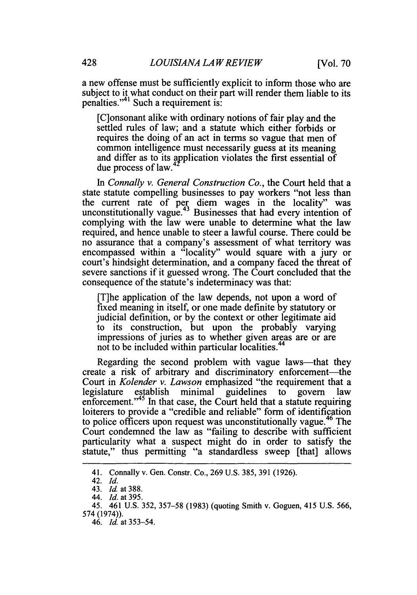a new offense must be sufficiently explicit to inform those who are subject to it what conduct on their part will render them liable to its penalties."<sup>41</sup> Such a requirement is:

[C]onsonant alike with ordinary notions of fair play and the settled rules of law; and a statute which either forbids or requires the doing of an act in terms so vague that men of common intelligence must necessarily guess at its meaning and differ as to its application violates the first essential of due process of law.4

*In Connally v. General Construction Co.,* the Court held that a state statute compelling businesses to pay workers "not less than the current rate of per diem wages in the locality" was unconstitutionally vague.<sup>43</sup> Businesses that had every intention of complying with the law were unable to determine what the law required, and hence unable to steer a lawful course. There could be no assurance that a company's assessment of what territory was encompassed within a "locality" would square with a jury or court's hindsight determination, and a company faced the threat of severe sanctions if it guessed wrong. The Court concluded that the consequence of the statute's indeterminacy was that:

[T]he application of the law depends, not upon a word of fixed meaning in itself, or one made definite by statutory or judicial definition, or by the context or other legitimate aid to its construction, but upon the probably varying impressions of juries as to whether given areas are or are not to be included within particular localities.<sup>44</sup>

Regarding the second problem with vague laws—that they create a risk of arbitrary and discriminatory enforcement—the Court in *Kolender v. Lawson* emphasized "the requirement that a legislature establish minimal guidelines to govern law enforcement."<sup>45</sup> In that case, the Court held that a statute requiring loiterers to provide a "credible and reliable" form of identification to police officers upon request was unconstitutionally vague.<sup>46</sup> The Court condemned the law as "failing to describe with sufficient particularity what a suspect might do in order to satisfy the statute," thus permitting "a standardless sweep [that] allows

<sup>41.</sup> Connally v. Gen. Constr. Co., 269 U.S. 385, 391 (1926).

<sup>42.</sup> *Id.*

<sup>43.</sup> *Id.* at 388.

<sup>44.</sup> *Id. at 395.*

<sup>45. 461</sup> U.S. 352, 357-58 (1983) (quoting Smith v. Goguen, 415 U.S. 566, 574 (1974)).

<sup>46.</sup> *Id.* at 353-54.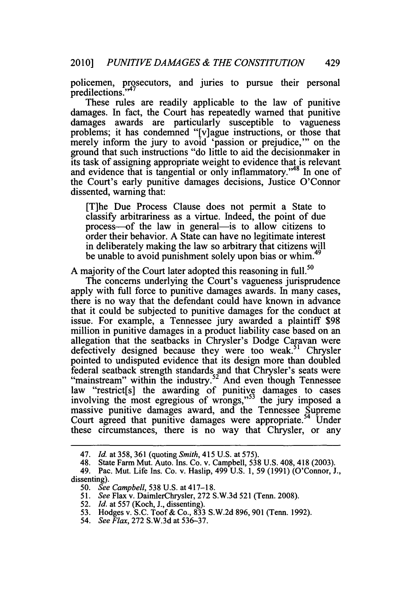policemen, prosecutors, and juries to pursue their personal poncement, pro

These rules are readily applicable to the law of punitive damages. In fact, the Court has repeatedly warned that punitive damages awards are particularly susceptible to vagueness problems; it has condemned "[v]ague instructions, or those that merely inform the jury to avoid 'passion or prejudice,"' on the ground that such instructions "do little to aid the decisiomnaker in its task of assigning appropriate weight to evidence that is relevant and evidence that is tangential or only inflammatory."<sup>48</sup> In one of the Court's early punitive damages decisions, Justice O'Connor dissented, warning that:

[T]he Due Process Clause does not permit a State to classify arbitrariness as a virtue. Indeed, the point of due process—of the law in general—is to allow citizens to order their behavior. A State can have no legitimate interest in deliberately making the law so arbitrary that citizens will be unable to avoid punishment solely upon bias or whim.<sup>49</sup>

A majority of the Court later adopted this reasoning in full.<sup>50</sup>

The concerns underlying the Court's vagueness jurisprudence apply with full force to punitive damages awards. In many cases, there is no way that the defendant could have known in advance that it could be subjected to punitive damages for the conduct at issue. For example, a Tennessee jury awarded a plaintiff \$98 million in punitive damages in a product liability case based on an allegation that the seatbacks in Chrysler's Dodge Caravan were defectively designed because they were too weak.<sup>51</sup> Chrysler pointed to undisputed evidence that its design more than doubled federal seatback strength standards and that Chrysler's seats were "mainstream" within the industry.52 And even though Tennessee law "restrict[s] the awarding of punitive damages to cases involving the most egregious of wrongs," $53$  the jury imposed a massive punitive damages award, and the Tennessee Supreme Court agreed that punitive damages were appropriate.<sup>54</sup> Under these circumstances, there is no way that Chrysler, or any

- *51. See* Flax v. DaimlerChrysler, 272 S.W.3d 521 (Tenn. 2008).
- 52. *Id.* at 557 (Koch, J., dissenting).
- 53. Hodges v. S.C. Toof& Co., 833 S.W.2d 896, 901 (Tenn. 1992).
- 54. *See Flax,* 272 S.W.3d at 536-37.

<sup>47.</sup> *Id.* at 358, 361 (quoting *Smith,* 415 U.S. at 575).

<sup>48.</sup> State Farm Mut. Auto. Ins. Co. v. Campbell, 538 U.S. 408, 418 (2003).

<sup>49.</sup> Pac. Mut. Life Ins. Co. v. Haslip, 499 U.S. 1, 59 (1991) (O'Connor, J., dissenting).

<sup>50.</sup> *See Campbell,* 538 U.S. at 417-18.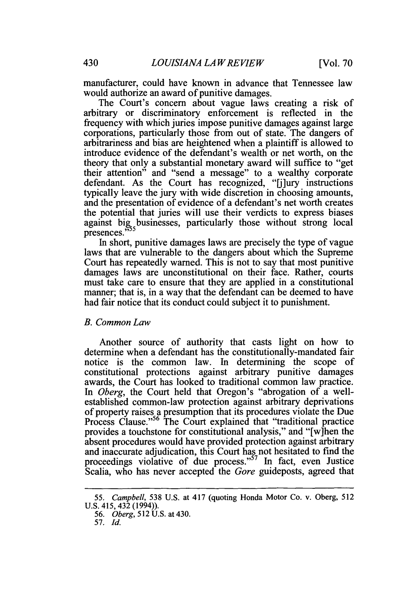manufacturer, could have known in advance that Tennessee law would authorize an award of punitive damages.

The Court's concern about vague laws creating a risk of arbitrary or discriminatory enforcement is reflected in the frequency with which juries impose punitive damages against large corporations, particularly those from out of state. The dangers of arbitrariness and bias are heightened when a plaintiff is allowed to introduce evidence of the defendant's wealth or net worth, on the theory that only a substantial monetary award will suffice to "get their attention" and "send a message" to a wealthy corporate defendant. As the Court has recognized, "I lury instructions" typically leave the jury with wide discretion in choosing amounts, and the presentation of evidence of a defendant's net worth creates the potential that juries will use their verdicts to express biases against big<sub>55</sub>businesses, particularly those without strong local presences.

In short, punitive damages laws are precisely the type of vague laws that are vulnerable to the dangers about which the Supreme Court has repeatedly warned. This is not to say that most punitive damages laws are unconstitutional on their face. Rather, courts must take care to ensure that they are applied in a constitutional manner; that is, in a way that the defendant can be deemed to have had fair notice that its conduct could subject it to punishment.

#### *B. Common Law*

Another source of authority that casts light on how to determine when a defendant has the constitutionally-mandated fair notice is the common law. In determining the scope of constitutional protections against arbitrary punitive damages awards, the Court has looked to traditional common law practice. *In Oberg,* the Court held that Oregon's "abrogation of a wellestablished common-law protection against arbitrary deprivations of property raises a presumption that its procedures violate the Due Process Clause.",56 The Court explained that "traditional practice provides a touchstone for constitutional analysis," and "[w]hen the absent procedures would have provided protection against arbitrary and inaccurate adjudication, this Court has not hesitated to find the proceedings violative of due process."<sup>57</sup> In fact, even Justice Scalia, who has never accepted the *Gore* guideposts, agreed that

*<sup>55.</sup> Campbell,* 538 U.S. at 417 (quoting Honda Motor Co. v. Oberg, 512 U.S. 415, 432 (1994)).

<sup>56.</sup> *Oberg,* 512 U.S. at 430.

<sup>57.</sup> *Id.*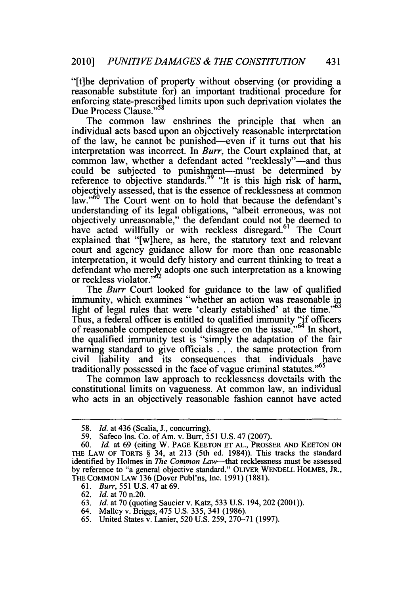"[t]he deprivation of property without observing (or providing a reasonable substitute for) an important traditional procedure for enforcing state-prescribed limits upon such deprivation violates the Due Process Clause."<sup>58</sup>

The common law enshrines the principle that when an individual acts based upon an objectively reasonable interpretation of the law, he cannot be punished-even if it turns out that his interpretation was incorrect. In *Burr,* the Court explained that, at common law, whether a defendant acted "recklessly"—and thus could be subjected to punishment-must be determined by reference to objective standards.<sup>59</sup> "It is this high risk of harm, objectively assessed, that is the essence of recklessness at common law."<sup>60</sup> The Court went on to hold that because the defendant's understanding of its legal obligations, "albeit erroneous, was not objectively unreasonable," the defendant could not be deemed to have acted willfully or with reckless disregard.<sup>61</sup> The Court explained that "[w]here, as here, the statutory text and relevant court and agency guidance allow for more than one reasonable interpretation, it would defy history and current thinking to treat a defendant who merely adopts one such interpretation as a knowing or reckless violator." *o*

The *Burr* Court looked for guidance to the law of qualified immunity, which examines "whether an action was reasonable in light of legal rules that were 'clearly established' at the time. $163$ Thus, a federal officer is entitled to qualified immunity "if officers of reasonable competence could disagree on the issue.<sup>"64</sup> In short, the qualified immunity test is "simply the adaptation of the fair warning standard to give officials . . . the same protection from civil liability and its consequences that individuals have traditionally possessed in the face of vague criminal statutes."<sup>65</sup>

The common law approach to recklessness dovetails with the constitutional limits on vagueness. At common law, an individual who acts in an objectively reasonable fashion cannot have acted

- 63. *Id.* at 70 (quoting Saucier v. Katz, 533 U.S. 194, 202 (2001)).
- 64. Malley v. Briggs, 475 U.S. 335, 341 (1986).

<sup>58.</sup> *Id.* at 436 (Scalia, J., concurring).

<sup>59.</sup> Safeco Ins. Co. of Am. v. Burr, 551 U.S. 47 (2007).

<sup>60.</sup> *Id.* at 69 (citing W. PAGE KEETON ET AL., PROSSER AND KEETON ON THE LAW OF TORTS § 34, at 213 (5th ed. 1984)). This tracks the standard identified by Holmes in The Common Law-that recklessness must be assessed by reference to "a general objective standard." OLIVER WENDELL HOLMES, JR., THE COMMON LAW 136 (Dover Publ'ns, Inc. 1991) (1881).

<sup>61.</sup> *Burr, 551* U.S. 47 at 69.

<sup>62.</sup> *Id.* at 70 n.20.

<sup>65.</sup> United States v. Lanier, 520 U.S. 259, 270-71 (1997).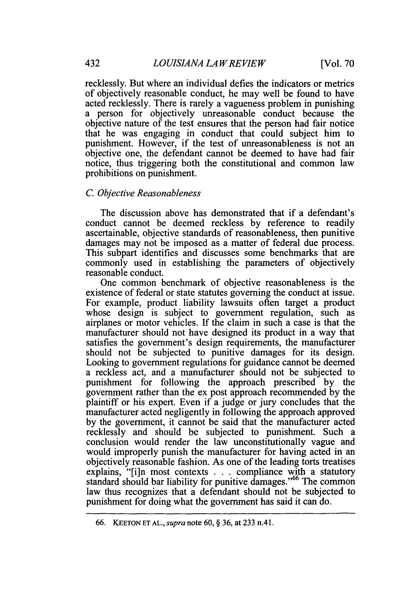recklessly. But where an individual defies the indicators or metrics of objectively reasonable conduct, he may well be found to have acted recklessly. There is rarely a vagueness problem in punishing a person for objectively unreasonable conduct because the objective nature of the test ensures that the person had fair notice that he was engaging in conduct that could subject him to punishment. However, if the test of unreasonableness is not an objective one, the defendant cannot be deemed to have had fair notice, thus triggering both the constitutional and common law prohibitions on punishment.

#### *C. Objective Reasonableness*

The discussion above has demonstrated that if a defendant's conduct cannot be deemed reckless **by** reference to readily ascertainable, objective standards of reasonableness, then punitive damages may not be imposed as a matter of federal due process. This subpart identifies and discusses some benchmarks that are commonly used in establishing the parameters of objectively reasonable conduct.

One common benchmark of objective reasonableness is the existence of federal or state statutes governing the conduct at issue. For example, product liability lawsuits often target a product whose design is subject to government regulation, such as airplanes or motor vehicles. If the claim in such a case is that the manufacturer should not have designed its product in a way that satisfies the government's design requirements, the manufacturer should not be subjected to punitive damages for its design. Looking to government regulations for guidance cannot be deemed a reckless act, and a manufacturer should not be subjected to punishment for following the approach prescribed **by** the government rather than the ex post approach recommended **by** the plaintiff or his expert. Even if a judge or jury concludes that the manufacturer acted negligently in following the approach approved **by** the government, it cannot be said that the manufacturer acted recklessly and should be subjected to punishment. Such a conclusion would render the law unconstitutionally vague and would improperly punish the manufacturer for having acted in an objectively reasonable fashion. As one of the leading torts treatises explains, "[i]n most contexts . . . compliance with a statutory standard should bar liability for punitive damages."<sup>66</sup> The common law thus recognizes that a defendant should not be subjected to punishment for doing what the government has said it can do.

<sup>66.</sup> KEETONETAL.,supranote 60, § 36, at233 n.41.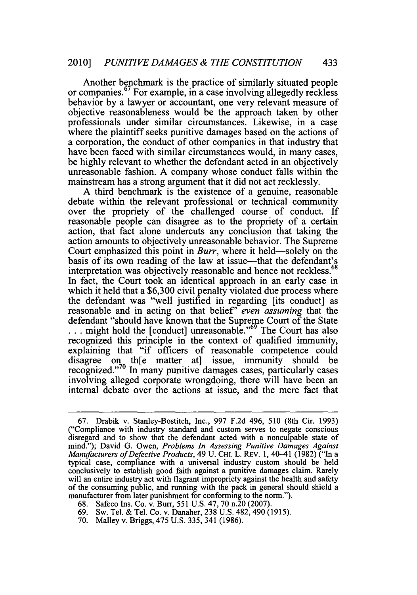Another benchmark is the practice of similarly situated people or companies.67 For example, in a case involving allegedly reckless behavior by a lawyer or accountant, one very relevant measure of objective reasonableness would be the approach taken by other professionals under similar circumstances. Likewise, in a case where the plaintiff seeks punitive damages based on the actions of a corporation, the conduct of other companies in that industry that have been faced with similar circumstances would, in many cases. be highly relevant to whether the defendant acted in an objectively unreasonable fashion. A company whose conduct falls within the mainstream has a strong argument that it did not act recklessly.

A third benchmark is the existence of a genuine, reasonable debate within the relevant professional or technical community over the propriety of the challenged course of conduct. If reasonable people can disagree as to the propriety of a certain action, that fact alone undercuts any conclusion that taking the action amounts to objectively unreasonable behavior. The Supreme Court emphasized this point in *Burr*, where it held—solely on the basis of its own reading of the law at issue—that the defendant's interpretation was objectively reasonable and hence not reckless.<sup>6</sup> In fact, the Court took an identical approach in an early case in which it held that a \$6,300 civil penalty violated due process where the defendant was "well justified in regarding [its conduct] as reasonable and in acting on that belief' *even assuming* that the defendant "should have known that the Supreme Court of the State ... might hold the [conduct] unreasonable."<sup>69</sup> The Court has also recognized this principle in the context of qualified immunity, explaining that "if officers of reasonable competence could disagree on th[e matter at] issue, immunity should be recognized."<sup>70</sup> In many punitive damages cases, particularly cases involving alleged corporate wrongdoing, there will have been an internal debate over the actions at issue, and the mere fact that

<sup>67.</sup> Drabik v. Stanley-Bostitch, Inc., 997 F.2d 496, 510 (8th Cir. 1993) ("Compliance with industry standard and custom serves to negate conscious disregard and to show that the defendant acted with a nonculpable state of mind."); David G. Owen, *Problems In Assessing Punitive Damages Against Manufacturers of Defective Products, 49 U. CHI. L. REV. 1, 40–41 (1982) ("In a* typical case, compliance with a universal industry custom should be held conclusively to establish good faith against a punitive damages claim. Rarely will an entire industry act with flagrant impropriety against the health and safety of the consuming public, and running with the pack in general should shield a manufacturer from later punishment for conforming to the norm.").

<sup>68.</sup> Safeco Ins. Co. v. Burr, 551 U.S. 47, 70 n.20 (2007).

<sup>69.</sup> Sw. Tel. & Tel. Co. v. Danaher, 238 U.S. 482, 490 (1915).

<sup>70.</sup> Malley v. Briggs, 475 U.S. 335, 341 (1986).